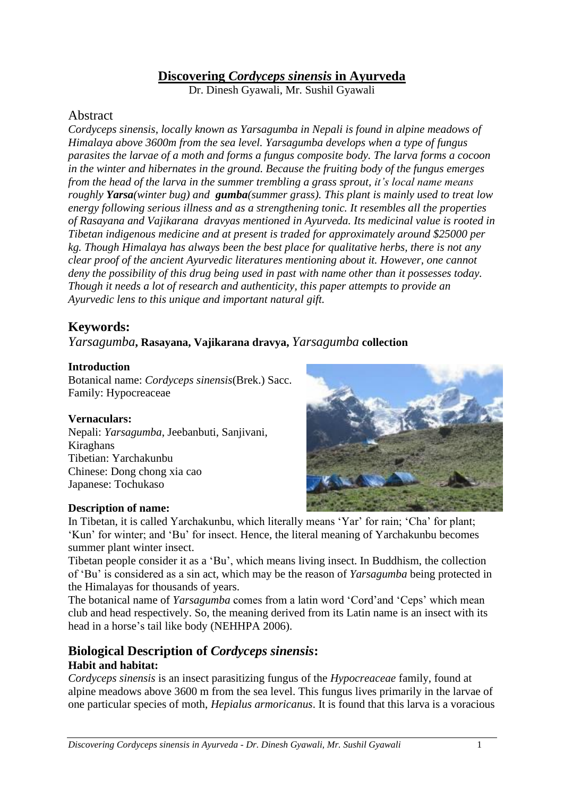# **Discovering** *Cordyceps sinensis* **in Ayurveda**

Dr. Dinesh Gyawali, Mr. Sushil Gyawali

### Abstract

*Cordyceps sinensis, locally known as Yarsagumba in Nepali is found in alpine meadows of Himalaya above 3600m from the sea level. Yarsagumba develops when a type of fungus parasites the larvae of a moth and forms a fungus composite body. The larva forms a cocoon in the winter and hibernates in the ground. Because the fruiting body of the fungus emerges from the head of the larva in the summer trembling a grass sprout, it's local name means roughly Yarsa(winter bug) and gumba(summer grass). This plant is mainly used to treat low energy following serious illness and as a strengthening tonic. It resembles all the properties of Rasayana and Vajikarana dravyas mentioned in Ayurveda. Its medicinal value is rooted in Tibetan indigenous medicine and at present is traded for approximately around \$25000 per kg. Though Himalaya has always been the best place for qualitative herbs, there is not any clear proof of the ancient Ayurvedic literatures mentioning about it. However, one cannot deny the possibility of this drug being used in past with name other than it possesses today. Though it needs a lot of research and authenticity, this paper attempts to provide an Ayurvedic lens to this unique and important natural gift.* 

# **Keywords:**

### *Yarsagumba***, Rasayana, Vajikarana dravya,** *Yarsagumba* **collection**

#### **Introduction**

Botanical name: *Cordyceps sinensis*(Brek.) Sacc. Family: Hypocreaceae

#### **Vernaculars:**

Nepali: *Yarsagumba*, Jeebanbuti, Sanjivani, Kiraghans Tibetian: Yarchakunbu Chinese: Dong chong xia cao Japanese: Tochukaso

#### **Description of name:**



In Tibetan, it is called Yarchakunbu, which literally means 'Yar' for rain; 'Cha' for plant; 'Kun' for winter; and 'Bu' for insect. Hence, the literal meaning of Yarchakunbu becomes summer plant winter insect.

Tibetan people consider it as a 'Bu', which means living insect. In Buddhism, the collection of 'Bu' is considered as a sin act, which may be the reason of *Yarsagumba* being protected in the Himalayas for thousands of years.

The botanical name of *Yarsagumba* comes from a latin word 'Cord'and 'Ceps' which mean club and head respectively. So, the meaning derived from its Latin name is an insect with its head in a horse's tail like body (NEHHPA 2006).

## **Biological Description of** *Cordyceps sinensis***: Habit and habitat:**

*Cordyceps sinensis* is an insect parasitizing fungus of the *Hypocreaceae* family, found at alpine meadows above 3600 m from the sea level. This fungus lives primarily in the larvae of one particular species of moth, *Hepialus armoricanus*. It is found that this larva is a voracious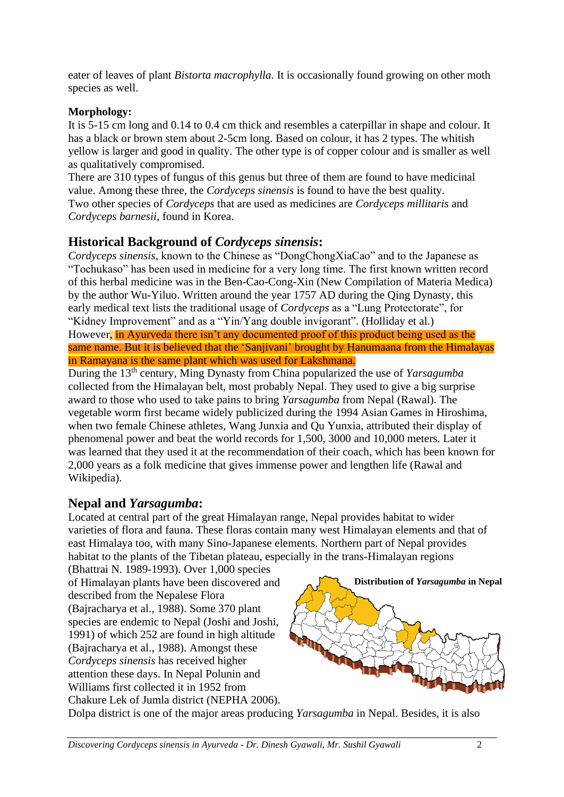eater of leaves of plant *Bistorta macrophylla.* It is occasionally found growing on other moth species as well.

## **Morphology:**

It is 5-15 cm long and 0.14 to 0.4 cm thick and resembles a caterpillar in shape and colour. It has a black or brown stem about 2-5cm long. Based on colour, it has 2 types. The whitish yellow is larger and good in quality. The other type is of copper colour and is smaller as well as qualitatively compromised.

There are 310 types of fungus of this genus but three of them are found to have medicinal value. Among these three, the *Cordyceps sinensis* is found to have the best quality. Two other species of *Cordyceps* that are used as medicines are *Cordyceps millitaris* and *Cordyceps barnesii*, found in Korea.

# **Historical Background of** *Cordyceps sinensis***:**

*Cordyceps sinensis*, known to the Chinese as "DongChongXiaCao" and to the Japanese as "Tochukaso" has been used in medicine for a very long time. The first known written record of this herbal medicine was in the Ben-Cao-Cong-Xin (New Compilation of Materia Medica) by the author Wu-Yiluo. Written around the year 1757 AD during the Qing Dynasty, this early medical text lists the traditional usage of *Cordyceps* as a "Lung Protectorate", for "Kidney Improvement" and as a "Yin/Yang double invigorant". (Holliday et al.) However, in Ayurveda there isn't any documented proof of this product being used as the same name. But it is believed that the 'Sanjivani' brought by Hanumaana from the Himalayas in Ramayana is the same plant which was used for Lakshmana.

During the 13th century, Ming Dynasty from China popularized the use of *Yarsagumba* collected from the Himalayan belt, most probably Nepal. They used to give a big surprise award to those who used to take pains to bring *Yarsagumba* from Nepal (Rawal). The vegetable worm first became widely publicized during the 1994 Asian Games in Hiroshima, when two female Chinese athletes, [Wang Junxia](http://en.wikipedia.org/wiki/Wang_Junxia) and [Qu Yunxia,](http://en.wikipedia.org/wiki/Qu_Yunxia) attributed their display of phenomenal power and beat the world records for 1,500, 3000 and 10,000 meters. Later it was learned that they used it at the recommendation of their coach, which has been known for 2,000 years as a folk medicine that gives immense power and lengthen life (Rawal and Wikipedia).

# **Nepal and** *Yarsagumba***:**

Located at central part of the great Himalayan range, Nepal provides habitat to wider varieties of flora and fauna. These floras contain many west Himalayan elements and that of east Himalaya too, with many Sino-Japanese elements. Northern part of Nepal provides habitat to the plants of the Tibetan plateau, especially in the trans-Himalayan regions

(Bhattrai N. 1989-1993). Over 1,000 species of Himalayan plants have been discovered and described from the Nepalese Flora (Bajracharya et al., 1988). Some 370 plant species are endemic to Nepal (Joshi and Joshi, 1991) of which 252 are found in high altitude (Bajracharya et al., 1988). Amongst these *Cordyceps sinensis* has received higher attention these days. In Nepal Polunin and Williams first collected it in 1952 from Chakure Lek of Jumla district (NEPHA 2006).



Dolpa district is one of the major areas producing *Yarsagumba* in Nepal. Besides, it is also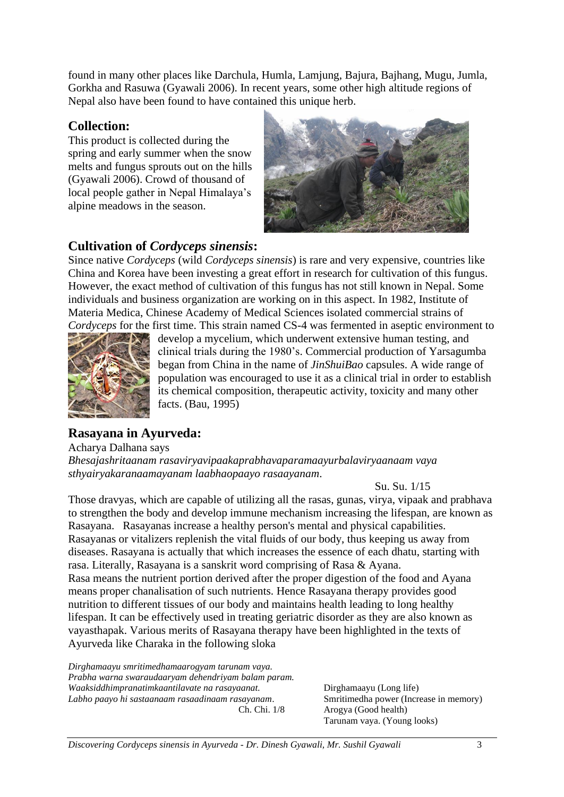found in many other places like Darchula, Humla, Lamjung, Bajura, Bajhang, Mugu, Jumla, Gorkha and Rasuwa (Gyawali 2006). In recent years, some other high altitude regions of Nepal also have been found to have contained this unique herb.

### **Collection:**

This product is collected during the spring and early summer when the snow melts and fungus sprouts out on the hills (Gyawali 2006). Crowd of thousand of local people gather in Nepal Himalaya's alpine meadows in the season.



## **Cultivation of** *Cordyceps sinensis***:**

Since native *Cordyceps* (wild *Cordyceps sinensis*) is rare and very expensive, countries like China and Korea have been investing a great effort in research for cultivation of this fungus. However, the exact method of cultivation of this fungus has not still known in Nepal. Some individuals and business organization are working on in this aspect. In 1982, Institute of Materia Medica, Chinese Academy of Medical Sciences isolated commercial strains of *Cordyceps* for the first time. This strain named CS-4 was fermented in aseptic environment to



develop a mycelium, which underwent extensive human testing, and clinical trials during the 1980's. Commercial production of Yarsagumba began from China in the name of *JinShuiBao* capsules. A wide range of population was encouraged to use it as a clinical trial in order to establish its chemical composition, therapeutic activity, toxicity and many other facts. (Bau, 1995)

# **Rasayana in Ayurveda:**

Acharya Dalhana says

*Bhesajashritaanam rasaviryavipaakaprabhavaparamaayurbalaviryaanaam vaya sthyairyakaranaamayanam laabhaopaayo rasaayanam*.

Su. Su. 1/15

Those dravyas, which are capable of utilizing all the rasas, gunas, virya, vipaak and prabhava to strengthen the body and develop immune mechanism increasing the lifespan, are known as Rasayana. Rasayanas increase a healthy person's mental and physical capabilities. Rasayanas or vitalizers replenish the vital fluids of our body, thus keeping us away from diseases. Rasayana is actually that which increases the essence of each dhatu, starting with rasa. Literally, Rasayana is a sanskrit word comprising of Rasa & Ayana. Rasa means the nutrient portion derived after the proper digestion of the food and Ayana means proper chanalisation of such nutrients. Hence Rasayana therapy provides good nutrition to different tissues of our body and maintains health leading to long healthy lifespan. It can be effectively used in treating geriatric disorder as they are also known as vayasthapak. Various merits of Rasayana therapy have been highlighted in the texts of Ayurveda like Charaka in the following sloka

*Dirghamaayu smritimedhamaarogyam tarunam vaya. Prabha warna swaraudaaryam dehendriyam balam param. Waaksiddhimpranatimkaantilavate na rasayaanat. Labho paayo hi sastaanaam rasaadinaam rasayanam*. Ch. Chi. 1/8

Dirghamaayu (Long life) Smritimedha power (Increase in memory) Arogya (Good health) Tarunam vaya. (Young looks)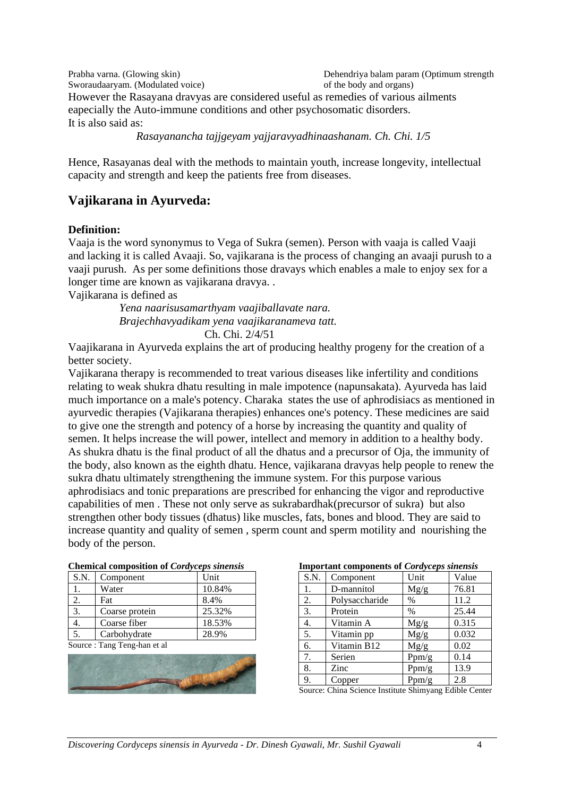Prabha varna. (Glowing skin) Sworaudaaryam. (Modulated voice) Dehendriya balam param (Optimum strength of the body and organs) However the Rasayana dravyas are considered useful as remedies of various ailments eapecially the Auto-immune conditions and other psychosomatic disorders. It is also said as:

*Rasayanancha tajjgeyam yajjaravyadhinaashanam. Ch. Chi. 1/5*

Hence, Rasayanas deal with the methods to maintain youth, increase longevity, intellectual capacity and strength and keep the patients free from diseases.

## **Vajikarana in Ayurveda:**

#### **Definition:**

Vaaja is the word synonymus to Vega of Sukra (semen). Person with vaaja is called Vaaji and lacking it is called Avaaji. So, vajikarana is the process of changing an avaaji purush to a vaaji purush. As per some definitions those dravays which enables a male to enjoy sex for a longer time are known as vajikarana dravya. .

Vajikarana is defined as

*Yena naarisusamarthyam vaajiballavate nara. Brajechhavyadikam yena vaajikaranameva tatt.* Ch. Chi. 2/4/51

Vaajikarana in Ayurveda explains the art of producing healthy progeny for the creation of a better society.

Vajikarana therapy is recommended to treat various diseases like infertility and conditions relating to weak shukra dhatu resulting in male impotence (napunsakata). Ayurveda has laid much importance on a male's potency. Charaka states the use of aphrodisiacs as mentioned in ayurvedic therapies (Vajikarana therapies) enhances one's potency. These medicines are said to give one the strength and potency of a horse by increasing the quantity and quality of semen. It helps increase the will power, intellect and memory in addition to a healthy body. As shukra dhatu is the final product of all the dhatus and a precursor of Oja, the immunity of the body, also known as the eighth dhatu. Hence, vajikarana dravyas help people to renew the sukra dhatu ultimately strengthening the immune system. For this purpose various aphrodisiacs and tonic preparations are prescribed for enhancing the vigor and reproductive capabilities of men . These not only serve as sukrabardhak(precursor of sukra) but also strengthen other body tissues (dhatus) like muscles, fats, bones and blood. They are said to increase quantity and quality of semen , sperm count and sperm motility and nourishing the body of the person.

| Chemical composition of Corayceps staensis |                |        |  |  |  |  |
|--------------------------------------------|----------------|--------|--|--|--|--|
| S.N.                                       | Component      | Unit   |  |  |  |  |
|                                            | Water          | 10.84% |  |  |  |  |
|                                            | Fat            | 8.4%   |  |  |  |  |
| 3.                                         | Coarse protein | 25.32% |  |  |  |  |
| 4.                                         | Coarse fiber   | 18.53% |  |  |  |  |
|                                            | Carbohydrate   | 28.9%  |  |  |  |  |
|                                            |                |        |  |  |  |  |

| <b>Chemical composition of Cordyceps sinensis</b> |
|---------------------------------------------------|
|---------------------------------------------------|

Source : Tang Teng-han et al



| <b>Important components of Cordyceps sinensis</b> |  |  |
|---------------------------------------------------|--|--|
|                                                   |  |  |

| Important components or <i>coraveeps sinensis</i> |                |       |       |  |  |  |
|---------------------------------------------------|----------------|-------|-------|--|--|--|
| S.N.                                              | Component      | Unit  | Value |  |  |  |
| 1.                                                | D-mannitol     | Mg/g  | 76.81 |  |  |  |
| 2.                                                | Polysaccharide | $\%$  | 11.2  |  |  |  |
| 3.                                                | Protein        | $\%$  | 25.44 |  |  |  |
| 4.                                                | Vitamin A      | Mg/g  | 0.315 |  |  |  |
| 5.                                                | Vitamin pp     | Mg/g  | 0.032 |  |  |  |
| 6.                                                | Vitamin B12    | Mg/g  | 0.02  |  |  |  |
| 7.                                                | Serien         | Ppm/g | 0.14  |  |  |  |
| 8.                                                | Zinc           | Ppm/g | 13.9  |  |  |  |
| 9.                                                | Copper         | Ppm/g | 2.8   |  |  |  |

Source: China Science Institute Shimyang Edible Center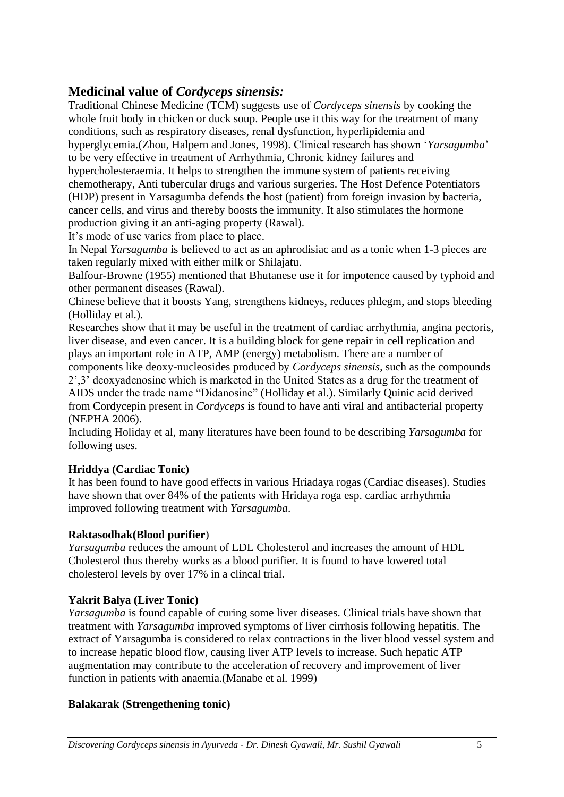## **Medicinal value of** *Cordyceps sinensis:*

Traditional Chinese Medicine (TCM) suggests use of *Cordyceps sinensis* by cooking the whole fruit body in chicken or duck soup. People use it this way for the treatment of many conditions, such as respiratory diseases, renal dysfunction, hyperlipidemia and hyperglycemia.(Zhou, Halpern and Jones, 1998). Clinical research has shown '*Yarsagumba*' to be very effective in treatment of Arrhythmia, Chronic kidney failures and hypercholesteraemia. It helps to strengthen the immune system of patients receiving chemotherapy, Anti tubercular drugs and various surgeries. The Host Defence Potentiators (HDP) present in Yarsagumba defends the host (patient) from foreign invasion by bacteria, cancer cells, and virus and thereby boosts the immunity. It also stimulates the hormone production giving it an anti-aging property (Rawal).

It's mode of use varies from place to place.

In Nepal *Yarsagumba* is believed to act as an aphrodisiac and as a tonic when 1-3 pieces are taken regularly mixed with either milk or Shilajatu.

Balfour-Browne (1955) mentioned that Bhutanese use it for impotence caused by typhoid and other permanent diseases (Rawal).

Chinese believe that it boosts Yang, strengthens kidneys, reduces phlegm, and stops bleeding (Holliday et al.).

Researches show that it may be useful in the treatment of cardiac arrhythmia, angina pectoris, liver disease, and even cancer. It is a building block for gene repair in cell replication and plays an important role in ATP, AMP (energy) metabolism. There are a number of components like deoxy-nucleosides produced by *Cordyceps sinensis*, such as the compounds 2',3' deoxyadenosine which is marketed in the United States as a drug for the treatment of AIDS under the trade name "Didanosine" (Holliday et al.). Similarly Quinic acid derived

from Cordycepin present in *Cordyceps* is found to have anti viral and antibacterial property (NEPHA 2006).

Including Holiday et al, many literatures have been found to be describing *Yarsagumba* for following uses.

#### **Hriddya (Cardiac Tonic)**

It has been found to have good effects in various Hriadaya rogas (Cardiac diseases). Studies have shown that over 84% of the patients with Hridaya roga esp. cardiac arrhythmia improved following treatment with *Yarsagumba*.

#### **Raktasodhak(Blood purifier**)

*Yarsagumba* reduces the amount of LDL Cholesterol and increases the amount of HDL Cholesterol thus thereby works as a blood purifier. It is found to have lowered total cholesterol levels by over 17% in a clincal trial.

### **Yakrit Balya (Liver Tonic)**

*Yarsagumba* is found capable of curing some liver diseases. Clinical trials have shown that treatment with *Yarsagumba* improved symptoms of liver cirrhosis following hepatitis. The extract of Yarsagumba is considered to relax contractions in the liver blood vessel system and to increase hepatic blood flow, causing liver ATP levels to increase. Such hepatic ATP augmentation may contribute to the acceleration of recovery and improvement of liver function in patients with anaemia.(Manabe et al. 1999)

#### **Balakarak (Strengethening tonic)**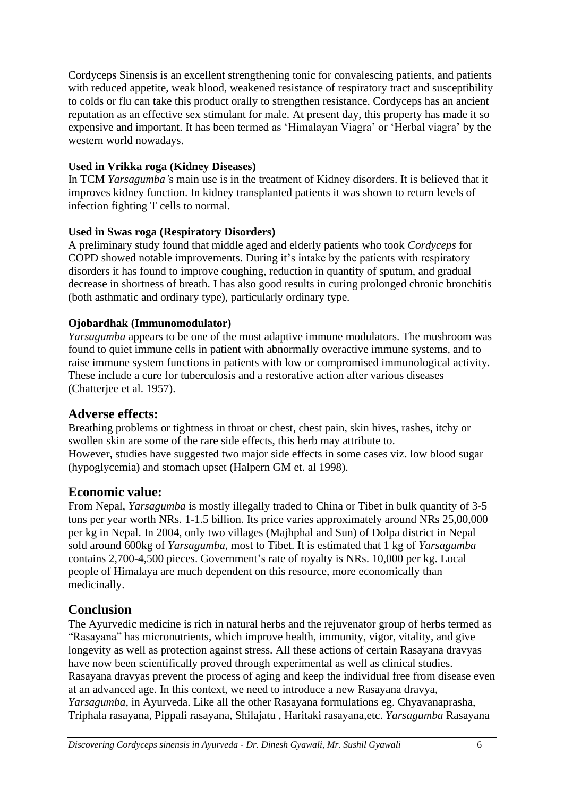Cordyceps Sinensis is an excellent strengthening tonic for convalescing patients, and patients with reduced appetite, weak blood, weakened resistance of respiratory tract and susceptibility to colds or flu can take this product orally to strengthen resistance. Cordyceps has an ancient reputation as an effective sex stimulant for male. At present day, this property has made it so expensive and important. It has been termed as 'Himalayan Viagra' or 'Herbal viagra' by the western world nowadays.

### **Used in Vrikka roga (Kidney Diseases)**

In TCM *Yarsagumba'*s main use is in the treatment of Kidney disorders. It is believed that it improves kidney function. In kidney transplanted patients it was shown to return levels of infection fighting T cells to normal.

#### **Used in Swas roga (Respiratory Disorders)**

A preliminary study found that middle aged and elderly patients who took *Cordyceps* for COPD showed notable improvements. During it's intake by the patients with respiratory disorders it has found to improve coughing, reduction in quantity of sputum, and gradual decrease in shortness of breath. I has also good results in curing prolonged chronic bronchitis (both asthmatic and ordinary type), particularly ordinary type.

#### **Ojobardhak (Immunomodulator)**

*Yarsagumba* appears to be one of the most adaptive immune modulators. The mushroom was found to quiet immune cells in patient with abnormally overactive immune systems, and to raise immune system functions in patients with low or compromised immunological activity. These include a cure for tuberculosis and a restorative action after various diseases (Chatterjee et al. 1957).

### **Adverse effects:**

Breathing problems or tightness in throat or chest, chest pain, skin hives, rashes, itchy or swollen skin are some of the rare side effects, this herb may attribute to. However, studies have suggested two major side effects in some cases viz. low blood sugar (hypoglycemia) and stomach upset (Halpern GM et. al 1998).

### **Economic value:**

From Nepal, *Yarsagumba* is mostly illegally traded to China or Tibet in bulk quantity of 3-5 tons per year worth NRs. 1-1.5 billion. Its price varies approximately around NRs 25,00,000 per kg in Nepal. In 2004, only two villages (Majhphal and Sun) of Dolpa district in Nepal sold around 600kg of *Yarsagumba*, most to Tibet. It is estimated that 1 kg of *Yarsagumba* contains 2,700-4,500 pieces. Government's rate of royalty is NRs. 10,000 per kg. Local people of Himalaya are much dependent on this resource, more economically than medicinally.

## **Conclusion**

The Ayurvedic medicine is rich in natural herbs and the rejuvenator group of herbs termed as "Rasayana" has micronutrients, which improve health, immunity, vigor, vitality, and give longevity as well as protection against stress. All these actions of certain Rasayana dravyas have now been scientifically proved through experimental as well as clinical studies. Rasayana dravyas prevent the process of aging and keep the individual free from disease even at an advanced age. In this context, we need to introduce a new Rasayana dravya, *Yarsagumba*, in Ayurveda. Like all the other Rasayana formulations eg. Chyavanaprasha, Triphala rasayana, Pippali rasayana, Shilajatu , Haritaki rasayana,etc. *Yarsagumba* Rasayana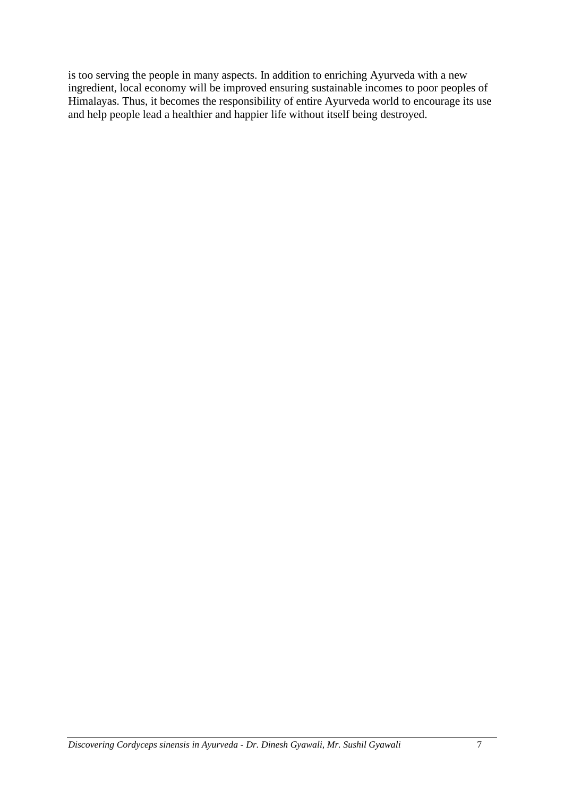is too serving the people in many aspects. In addition to enriching Ayurveda with a new ingredient, local economy will be improved ensuring sustainable incomes to poor peoples of Himalayas. Thus, it becomes the responsibility of entire Ayurveda world to encourage its use and help people lead a healthier and happier life without itself being destroyed.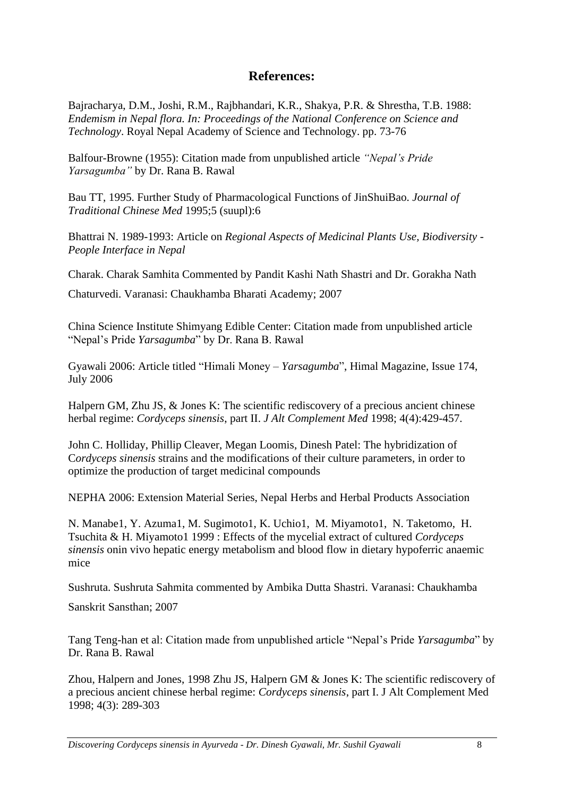## **References:**

Bajracharya, D.M., Joshi, R.M., Rajbhandari, K.R., Shakya, P.R. & Shrestha, T.B. 1988: *Endemism in Nepal flora. In: Proceedings of the National Conference on Science and Technology*. Royal Nepal Academy of Science and Technology. pp. 73-76

Balfour-Browne (1955): Citation made from unpublished article *"Nepal's Pride Yarsagumba"* by Dr. Rana B. Rawal

Bau TT, 1995. Further Study of Pharmacological Functions of JinShuiBao. *Journal of Traditional Chinese Med* 1995;5 (suupl):6

Bhattrai N. 1989-1993: Article on *Regional Aspects of Medicinal Plants Use, Biodiversity - People Interface in Nepal*

Charak. Charak Samhita Commented by Pandit Kashi Nath Shastri and Dr. Gorakha Nath

Chaturvedi. Varanasi: Chaukhamba Bharati Academy; 2007

China Science Institute Shimyang Edible Center: Citation made from unpublished article "Nepal's Pride *Yarsagumba*" by Dr. Rana B. Rawal

Gyawali 2006: Article titled "Himali Money – *Yarsagumba*", Himal Magazine, Issue 174, July 2006

Halpern GM, Zhu JS, & Jones K: The scientific rediscovery of a precious ancient chinese herbal regime: *Cordyceps sinensis*, part II. *J Alt Complement Med* 1998; 4(4):429-457.

John C. Holliday, Phillip Cleaver, Megan Loomis, Dinesh Patel: The hybridization of C*ordyceps sinensis* strains and the modifications of their culture parameters, in order to optimize the production of target medicinal compounds

NEPHA 2006: Extension Material Series, Nepal Herbs and Herbal Products Association

N. Manabe1, Y. Azuma1, M. Sugimoto1, K. Uchio1, M. Miyamoto1, N. Taketomo, H. Tsuchita & H. Miyamoto1 1999 : Effects of the mycelial extract of cultured *Cordyceps sinensis* onin vivo hepatic energy metabolism and blood flow in dietary hypoferric anaemic mice

Sushruta. Sushruta Sahmita commented by Ambika Dutta Shastri. Varanasi: Chaukhamba

Sanskrit Sansthan; 2007

Tang Teng-han et al: Citation made from unpublished article "Nepal's Pride *Yarsagumba*" by Dr. Rana B. Rawal

Zhou, Halpern and Jones, 1998 Zhu JS, Halpern GM & Jones K: The scientific rediscovery of a precious ancient chinese herbal regime: *Cordyceps sinensis*, part I. J Alt Complement Med 1998; 4(3): 289-303